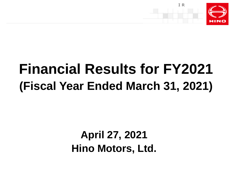

# **Financial Results for FY2021 (Fiscal Year Ended March 31, 2021)**

## **April 27, 2021 Hino Motors, Ltd.**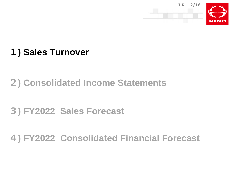

### **1) Sales Turnover**

### **2) Consolidated Income Statements**

### **3) FY2022 Sales Forecast**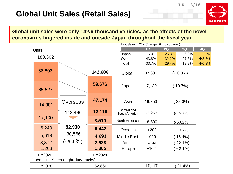### **Global Unit Sales (Retail Sales)**

**IR 3/16**



**Global unit sales were only 142.6 thousand vehicles, as the effects of the novel coronavirus lingered inside and outside Japan throughout the fiscal year.**

|         |                                       |               |                              | Unit Sales YOY Change (%) (by quarter) |          |             |         |  |
|---------|---------------------------------------|---------------|------------------------------|----------------------------------------|----------|-------------|---------|--|
| (Units) |                                       |               |                              | 1Q                                     | 2Q       | 3Q          | 4Q      |  |
|         |                                       |               | Japan                        | $-15.0%$                               | $-25.3%$ | $+6.0%$     | $-2.2%$ |  |
| 180,302 |                                       |               | Overseas                     | $-43.8%$                               | $-32.2%$ | $-27.6%$    | $+3.2%$ |  |
|         |                                       |               | Total                        | $-33.7%$                               | $-29.4%$ | $-18.2%$    | $+0.8%$ |  |
| 66,806  |                                       | 142,606       | Global                       | $-37,696$                              |          | $(-20.9%)$  |         |  |
| 65,527  |                                       | 59,676        | Japan                        | $-7,130$                               |          | $(-10.7%)$  |         |  |
| 14,381  | Overseas                              | 47,174        | Asia                         | $-18,353$                              |          | $(-28.0\%)$ |         |  |
|         | 113,496                               | 12,118        | Central and<br>South America | $-2,263$                               |          | $(-15.7%)$  |         |  |
| 17,100  |                                       | 8,510         | North America                | $-8,590$                               |          | (-50.2%)    |         |  |
| 6,240   | 82,930                                | 6,442         | Oceania                      | $+202$                                 |          | $(+3.2\%)$  |         |  |
| 5,613   | $-30,566$                             | 4,693         | <b>Middle East</b>           | $-920$                                 |          | $(-16.4%)$  |         |  |
| 3,372   | $(-26.9\%)$                           | 2,628         | Africa                       | $-744$                                 |          | $(-22.1\%)$ |         |  |
| 1,263   |                                       | 1,365         | Europe                       | $+102$                                 |          | $(+8.1\%)$  |         |  |
| FY2020  | Global Unit Sales (Light-duty trucks) | <b>FY2021</b> |                              |                                        |          |             |         |  |
| 79,978  |                                       | 62,861        |                              | $-17,117$                              |          | $(-21.4%)$  |         |  |
|         |                                       |               |                              |                                        |          |             |         |  |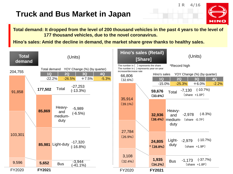### **Truck and Bus Market in Japan**

**Total demand: It dropped from the level of 200 thousand vehicles in the past 4 years to the level of 177 thousand vehicles, due to the novel coronavirus.**

**IR 4/16**

HING

**Hino's sales: Amid the decline in demand, the market share grew thanks to healthy sales.**

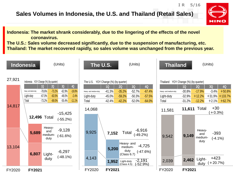#### **Sales Volumes in Indonesia, the U.S. and Thailand (Retail Sales)**



**IR 5/16**

**Indonesia: The market shrank considerably, due to the lingering of the effects of the novel coronavirus.**

**The U.S.: Sales volume decreased significantly, due to the suspension of manufacturing, etc. Thailand: The market recovered rapidly, so sales volume was unchanged from the previous year.**

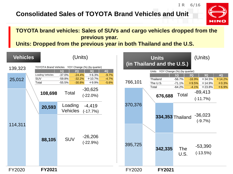#### **Consolidated Sales of TOYOTA Brand Vehicles and Unit**



**IR 6/16**

#### **TOYOTA brand vehicles: Sales of SUVs and cargo vehicles dropped from the previous year.**

**Units: Dropped from the previous year in both Thailand and the U.S.**

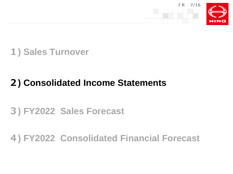



### **) Consolidated Income Statements**

### **) FY2022 Sales Forecast**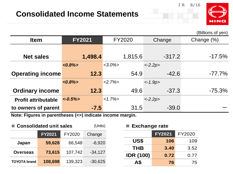

**US\$ 106** 109

**THB 3.40** 3.52

**IDR (100) 0.72** 0.77



(Billions of yen)

|                                                                                                                                                        |                          |               |           | -- , -- ,  |  |  |
|--------------------------------------------------------------------------------------------------------------------------------------------------------|--------------------------|---------------|-----------|------------|--|--|
| <b>Item</b>                                                                                                                                            | <b>FY2021</b>            | <b>FY2020</b> | Change    | Change (%) |  |  |
|                                                                                                                                                        |                          |               |           |            |  |  |
| <b>Net sales</b>                                                                                                                                       | 1,498.4                  | 1,815.6       | $-317.2$  | $-17.5%$   |  |  |
|                                                                                                                                                        | $<0.8\frac{1}{2}$        | $<3.0\%$      | $<-2.2p>$ |            |  |  |
| <b>Operating income</b>                                                                                                                                | 12.3                     | 54.9          | $-42.6$   | $-77.7\%$  |  |  |
|                                                                                                                                                        | $<0.8\frac{1}{2}$        | $<2.7\%>$     | $<-1.9p>$ |            |  |  |
| <b>Ordinary income</b>                                                                                                                                 | 12.3                     | 49.6          | $-37.3$   | $-75.3\%$  |  |  |
| <b>Profit attributable</b>                                                                                                                             | $\langle -0.5\% \rangle$ | $<1.7\%>$     | $<-2.2p>$ |            |  |  |
| to owners of parent                                                                                                                                    | $-7.5$                   | 31.5          | $-39.0$   |            |  |  |
| <b>ALL 4 - 1995</b><br>. The contract of the contract of the contract of the contract of the contract of the contract of the contract of $\mathcal{A}$ |                          |               |           |            |  |  |

**Note: Figures in parentheses (<>) indicate income margin.** 

| ■ Consolidated unit sales |               |         | (Units)   | <b>Exchange rate</b><br>a a |               |        |
|---------------------------|---------------|---------|-----------|-----------------------------|---------------|--------|
|                           | <b>FY2021</b> | FY2020  | Change    |                             | <b>FY2021</b> | FY2020 |
| Japan                     | 59,628        | 66,548  | $-6,920$  | US\$                        | 106           | 109    |
|                           |               |         |           | <b>THB</b>                  | 3.40          | 3.52   |
| <b>Overseas</b>           | 73,615        | 107,742 | $-34,127$ | <b>IDR (100)</b>            | 0.72          | 0.77   |
| <b>TOYOTA brand</b>       | 108,698       | 139,323 | $-30,625$ | A\$                         | 76            | 75     |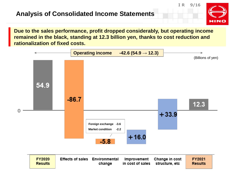#### **Analysis of Consolidated Income Statements**





**Due to the sales performance, profit dropped considerably, but operating income remained in the black, standing at 12.3 billion yen, thanks to cost reduction and rationalization of fixed costs.**



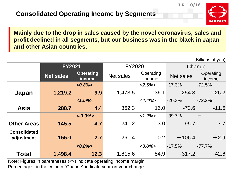

(Billions of yen)

**Mainly due to the drop in sales caused by the novel coronavirus, sales and profit declined in all segments, but our business was in the black in Japan and other Asian countries.**

|                                   | <b>FY2021</b>                                  |                          | <b>FY2020</b> | Change              |                  |                     |
|-----------------------------------|------------------------------------------------|--------------------------|---------------|---------------------|------------------|---------------------|
|                                   | <b>Operating</b><br><b>Net sales</b><br>income |                          | Net sales     | Operating<br>income | <b>Net sales</b> | Operating<br>income |
|                                   |                                                | $<0.8\frac{1}{2}$        |               | $<2.5\%>$           | $-17.3%$         | $-72.5%$            |
| Japan                             | 1,219.2                                        | 9.9                      | 1,473.5       | 36.1                | $-254.3$         | $-26.2$             |
|                                   |                                                | $1.5\%$                  |               | $<4.4\%>$           | $-20.3%$         | $-72.2%$            |
| <b>Asia</b>                       | 288.7                                          | 4.4                      | 362.3         | 16.0                | $-73.6$          | $-11.6$             |
|                                   |                                                | $\langle -3.3\% \rangle$ |               | $1.2\%$             | $-39.7%$         |                     |
| <b>Other Areas</b>                | 145.5                                          | $-4.7$                   | 241.2         | 3.0                 | $-95.7$          | $-7.7$              |
| <b>Consolidated</b><br>adjustment | $-155.0$                                       | 2.7                      | $-261.4$      | $-0.2$              | $+106.4$         | $+2.9$              |
|                                   |                                                | $<0.8\frac{1}{2}$        |               | $<3.0\%$            | $-17.5%$         | $-77.7%$            |
| <b>Total</b>                      | 1,498.4                                        | 12.3                     | 1,815.6       | 54.9                | $-317.2$         | $-42.6$             |

Note: Figures in parentheses (<>) indicate operating income margin.

Percentages in the column "Change" indicate year-on-year change.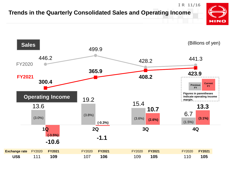#### **IR 11/16 Trends in the Quarterly Consolidated Sales and Operating Income HINO**

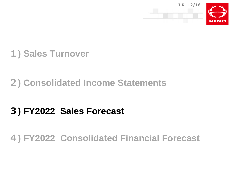



### **) Consolidated Income Statements**

### **) FY2022 Sales Forecast**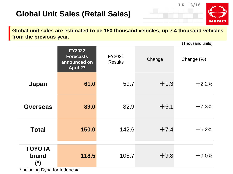### **Global Unit Sales (Retail Sales)**





(Thousand units) **FY2022 Forecasts announced on April 27** FY2021 Results Change Change (%) **Japan 61.0** 59.7 +1.3 +2.2% **Overseas 89.0** 82.9 +6.1 +7.3% **Total 150.0** 142.6 +7.4 +5.2% **TOYOTA brand (\*) 118.5** 108.7 +9.8 +9.0%

\*Including Dyna for Indonesia.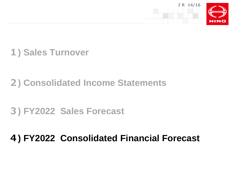

### **1) Sales Turnover**

### **2) Consolidated Income Statements**

### **3) FY2022 Sales Forecast**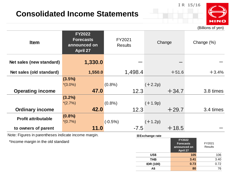### **Consolidated Income Statements**



(Billions of yen)

**IR 15/16**

| <b>Item</b>                | <b>FY2022</b><br><b>Forecasts</b><br>announced on<br><b>April 27</b> | FY2021<br><b>Results</b> | Change    | Change (%) |  |
|----------------------------|----------------------------------------------------------------------|--------------------------|-----------|------------|--|
| Net sales (new standard)   | 1,330.0                                                              |                          |           |            |  |
| Net sales (old standard)   | 1,550.0                                                              | 1,498.4                  | $+51.6$   | $+3.4%$    |  |
|                            | $(3.5\%)$                                                            |                          |           |            |  |
|                            | $*(3.0\%)$                                                           | $(0.8\%)$                | $(+2.2p)$ |            |  |
| <b>Operating income</b>    | 47.0                                                                 | 12.3                     | $+34.7$   | 3.8 times  |  |
|                            | $(3.2\%)$                                                            |                          |           |            |  |
|                            | $*(2.7\%)$                                                           | $(0.8\%)$                | $(+1.9p)$ |            |  |
| <b>Ordinary income</b>     | 42.0                                                                 | 12.3                     | $+29.7$   | 3.4 times  |  |
| <b>Profit attributable</b> | $(0.8\%)$                                                            |                          |           |            |  |
|                            | $*(0.7\%)$                                                           | $(-0.5%)$                | $(+1.2p)$ |            |  |
| to owners of parent        | 11.0                                                                 | $-7.5$                   | $+18.5$   |            |  |

Note: Figures in parentheses indicate income margin.

\*Income margin in the old standard

#### ■**Exchange rate**

|                  | <b>FY2022</b><br><b>Forecasts</b><br>announced on<br>April 27 | FY2021<br><b>Results</b> |
|------------------|---------------------------------------------------------------|--------------------------|
| US\$             | 105                                                           | 106                      |
| THB              | 3.41                                                          | 3.40                     |
| <b>IDR (100)</b> | 0.73                                                          | 0.72                     |
| A\$              | 80                                                            | 76                       |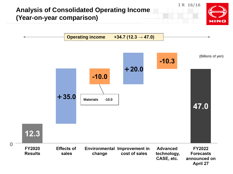